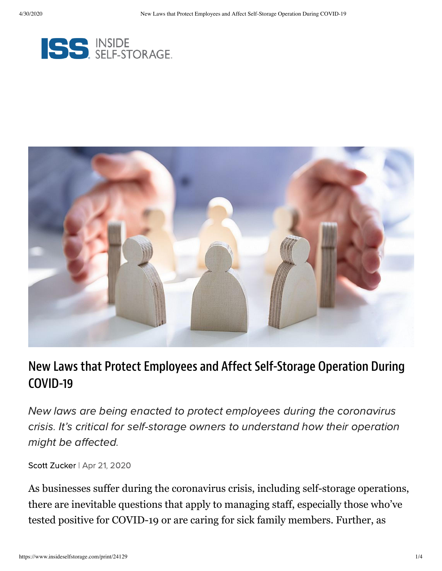



# New Laws that Protect Employees and Affect Self-Storage Operation During COVID-19

New laws are being enacted to protect employees during the coronavirus crisis. It's critical for self-storage owners to understand how their operation might be affected.

Scott [Zucker](https://www.insideselfstorage.com/author/Scott-Zucker) | Apr 21, 2020

As businesses suffer during the coronavirus crisis, including self-storage operations, there are inevitable questions that apply to managing staff, especially those who've tested positive for COVID-19 or are caring for sick family members. Further, as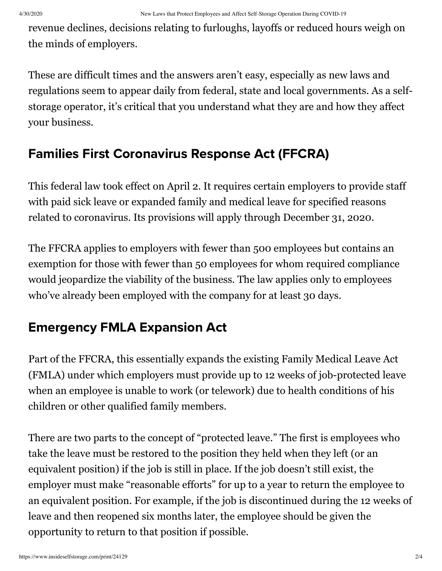revenue declines, decisions relating to furloughs, layoffs or reduced hours weigh on the minds of employers.

These are difficult times and the answers aren't easy, especially as new laws and regulations seem to appear daily from federal, state and local governments. As a selfstorage operator, it's critical that you understand what they are and how they affect your business.

## Families First Coronavirus Response Act (FFCRA)

This federal law took effect on April 2. It requires certain employers to provide staff with paid sick leave or expanded family and medical leave for specified reasons related to coronavirus. Its provisions will apply through December 31, 2020.

The FFCRA applies to employers with fewer than 500 employees but contains an exemption for those with fewer than 50 employees for whom required compliance would jeopardize the viability of the business. The law applies only to employees who've already been employed with the company for at least 30 days.

## Emergency FMLA Expansion Act

Part of the FFCRA, this essentially expands the existing Family Medical Leave Act (FMLA) under which employers must provide up to 12 weeks of job-protected leave when an employee is unable to work (or telework) due to health conditions of his children or other qualified family members.

There are two parts to the concept of "protected leave." The first is employees who take the leave must be restored to the position they held when they left (or an equivalent position) if the job is still in place. If the job doesn't still exist, the employer must make "reasonable efforts" for up to a year to return the employee to an equivalent position. For example, if the job is discontinued during the 12 weeks of leave and then reopened six months later, the employee should be given the opportunity to return to that position if possible.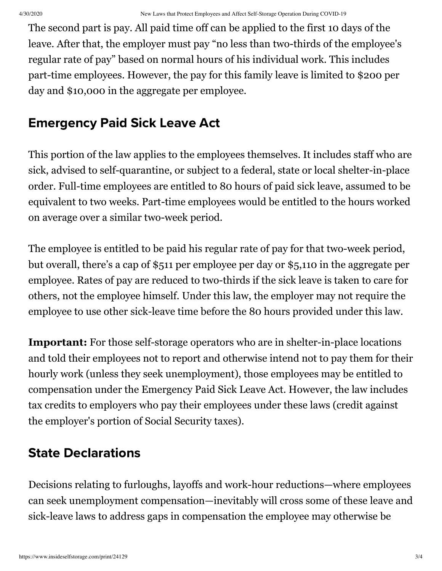The second part is pay. All paid time off can be applied to the first 10 days of the leave. After that, the employer must pay "no less than two-thirds of the employee's regular rate of pay" based on normal hours of his individual work. This includes part-time employees. However, the pay for this family leave is limited to \$200 per day and \$10,000 in the aggregate per employee.

### Emergency Paid Sick Leave Act

This portion of the law applies to the employees themselves. It includes staff who are sick, advised to self-quarantine, or subject to a federal, state or local shelter-in-place order. Full-time employees are entitled to 80 hours of paid sick leave, assumed to be equivalent to two weeks. Part-time employees would be entitled to the hours worked on average over a similar two-week period.

The employee is entitled to be paid his regular rate of pay for that two-week period, but overall, there's a cap of \$511 per employee per day or \$5,110 in the aggregate per employee. Rates of pay are reduced to two-thirds if the sick leave is taken to care for others, not the employee himself. Under this law, the employer may not require the employee to use other sick-leave time before the 80 hours provided under this law.

**Important:** For those self-storage operators who are in shelter-in-place locations and told their employees not to report and otherwise intend not to pay them for their hourly work (unless they seek unemployment), those employees may be entitled to compensation under the Emergency Paid Sick Leave Act. However, the law includes tax credits to employers who pay their employees under these laws (credit against the employer's portion of Social Security taxes).

## State Declarations

Decisions relating to furloughs, layoffs and work-hour reductions—where employees can seek unemployment compensation—inevitably will cross some of these leave and sick-leave laws to address gaps in compensation the employee may otherwise be